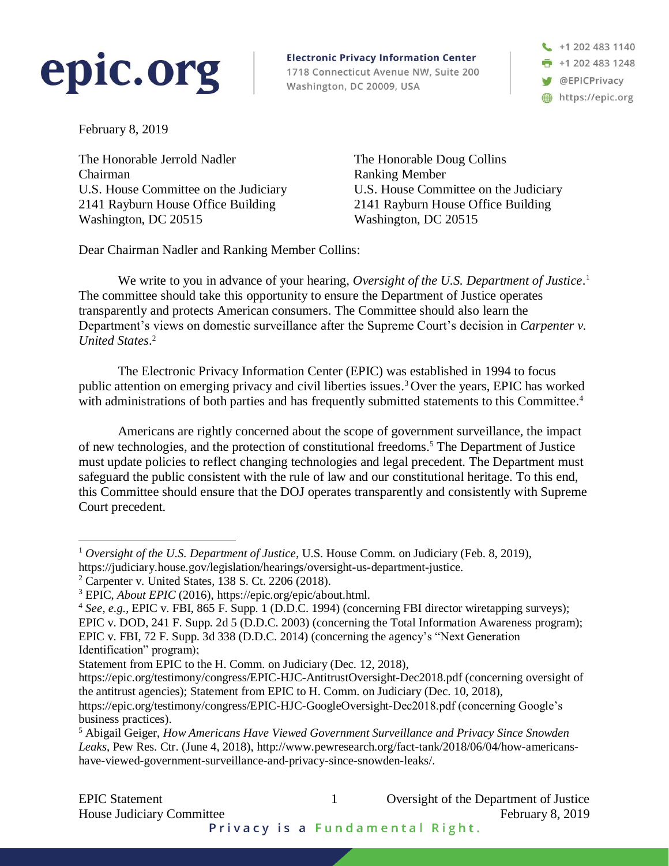

**Electronic Privacy Information Center** 1718 Connecticut Avenue NW, Suite 200 Washington, DC 20009, USA

 $\leftarrow$  +1 202 483 1140 +1 202 483 1248 **W** @EPICPrivacy https://epic.org

February 8, 2019

 $\overline{a}$ 

The Honorable Jerrold Nadler Chairman U.S. House Committee on the Judiciary 2141 Rayburn House Office Building Washington, DC 20515

The Honorable Doug Collins Ranking Member U.S. House Committee on the Judiciary 2141 Rayburn House Office Building Washington, DC 20515

Dear Chairman Nadler and Ranking Member Collins:

We write to you in advance of your hearing, Oversight of the U.S. Department of Justice.<sup>1</sup> The committee should take this opportunity to ensure the Department of Justice operates transparently and protects American consumers. The Committee should also learn the Department's views on domestic surveillance after the Supreme Court's decision in *Carpenter v. United States*. 2

The Electronic Privacy Information Center (EPIC) was established in 1994 to focus public attention on emerging privacy and civil liberties issues. <sup>3</sup> Over the years, EPIC has worked with administrations of both parties and has frequently submitted statements to this Committee.<sup>4</sup>

Americans are rightly concerned about the scope of government surveillance, the impact of new technologies, and the protection of constitutional freedoms. <sup>5</sup> The Department of Justice must update policies to reflect changing technologies and legal precedent. The Department must safeguard the public consistent with the rule of law and our constitutional heritage. To this end, this Committee should ensure that the DOJ operates transparently and consistently with Supreme Court precedent.

<sup>1</sup> *Oversight of the U.S. Department of Justice*, U.S. House Comm. on Judiciary (Feb. 8, 2019), https://judiciary.house.gov/legislation/hearings/oversight-us-department-justice.

<sup>2</sup> Carpenter v. United States, 138 S. Ct. 2206 (2018).

<sup>3</sup> EPIC, *About EPIC* (2016), https://epic.org/epic/about.html.

<sup>4</sup> *See, e.g.*, EPIC v. FBI, 865 F. Supp. 1 (D.D.C. 1994) (concerning FBI director wiretapping surveys); EPIC v. DOD, 241 F. Supp. 2d 5 (D.D.C. 2003) (concerning the Total Information Awareness program); EPIC v. FBI, 72 F. Supp. 3d 338 (D.D.C. 2014) (concerning the agency's "Next Generation Identification" program);

Statement from EPIC to the H. Comm. on Judiciary (Dec. 12, 2018),

https://epic.org/testimony/congress/EPIC-HJC-AntitrustOversight-Dec2018.pdf (concerning oversight of the antitrust agencies); Statement from EPIC to H. Comm. on Judiciary (Dec. 10, 2018),

https://epic.org/testimony/congress/EPIC-HJC-GoogleOversight-Dec2018.pdf (concerning Google's business practices).

<sup>5</sup> Abigail Geiger, *How Americans Have Viewed Government Surveillance and Privacy Since Snowden Leaks*, Pew Res. Ctr. (June 4, 2018), http://www.pewresearch.org/fact-tank/2018/06/04/how-americanshave-viewed-government-surveillance-and-privacy-since-snowden-leaks/.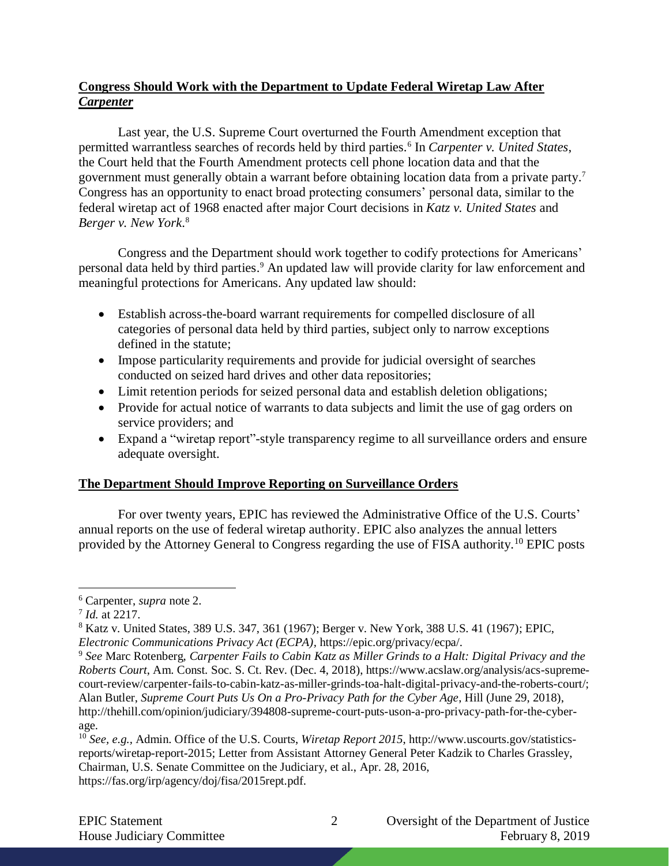## **Congress Should Work with the Department to Update Federal Wiretap Law After**  *Carpenter*

Last year, the U.S. Supreme Court overturned the Fourth Amendment exception that permitted warrantless searches of records held by third parties.<sup>6</sup> In *Carpenter v. United States*, the Court held that the Fourth Amendment protects cell phone location data and that the government must generally obtain a warrant before obtaining location data from a private party. 7 Congress has an opportunity to enact broad protecting consumers' personal data, similar to the federal wiretap act of 1968 enacted after major Court decisions in *Katz v. United States* and *Berger v. New York*. 8

Congress and the Department should work together to codify protections for Americans' personal data held by third parties. <sup>9</sup> An updated law will provide clarity for law enforcement and meaningful protections for Americans. Any updated law should:

- Establish across-the-board warrant requirements for compelled disclosure of all categories of personal data held by third parties, subject only to narrow exceptions defined in the statute;
- Impose particularity requirements and provide for judicial oversight of searches conducted on seized hard drives and other data repositories;
- Limit retention periods for seized personal data and establish deletion obligations;
- Provide for actual notice of warrants to data subjects and limit the use of gag orders on service providers; and
- Expand a "wiretap report"-style transparency regime to all surveillance orders and ensure adequate oversight.

## **The Department Should Improve Reporting on Surveillance Orders**

For over twenty years, EPIC has reviewed the Administrative Office of the U.S. Courts' annual reports on the use of federal wiretap authority. EPIC also analyzes the annual letters provided by the Attorney General to Congress regarding the use of FISA authority.<sup>10</sup> EPIC posts

 $\overline{a}$ 

EPIC Statement 2 Oversight of the Department of Justice House Judiciary Committee February 8, 2019

<sup>6</sup> Carpenter, *supra* note 2.

<sup>7</sup> *Id.* at 2217.

<sup>8</sup> Katz v. United States, 389 U.S. 347, 361 (1967); Berger v. New York, 388 U.S. 41 (1967); EPIC, *Electronic Communications Privacy Act (ECPA),* https://epic.org/privacy/ecpa/.

<sup>9</sup> *See* Marc Rotenberg, *Carpenter Fails to Cabin Katz as Miller Grinds to a Halt: Digital Privacy and the Roberts Court*, Am. Const. Soc. S. Ct. Rev. (Dec. 4, 2018), https://www.acslaw.org/analysis/acs-supremecourt-review/carpenter-fails-to-cabin-katz-as-miller-grinds-toa-halt-digital-privacy-and-the-roberts-court/; Alan Butler, *Supreme Court Puts Us On a Pro-Privacy Path for the Cyber Age*, Hill (June 29, 2018), http://thehill.com/opinion/judiciary/394808-supreme-court-puts-uson-a-pro-privacy-path-for-the-cyberage.

<sup>10</sup> *See, e.g.,* Admin. Office of the U.S. Courts, *Wiretap Report 2015*, http://www.uscourts.gov/statisticsreports/wiretap-report-2015; Letter from Assistant Attorney General Peter Kadzik to Charles Grassley, Chairman, U.S. Senate Committee on the Judiciary, et al., Apr. 28, 2016, https://fas.org/irp/agency/doj/fisa/2015rept.pdf.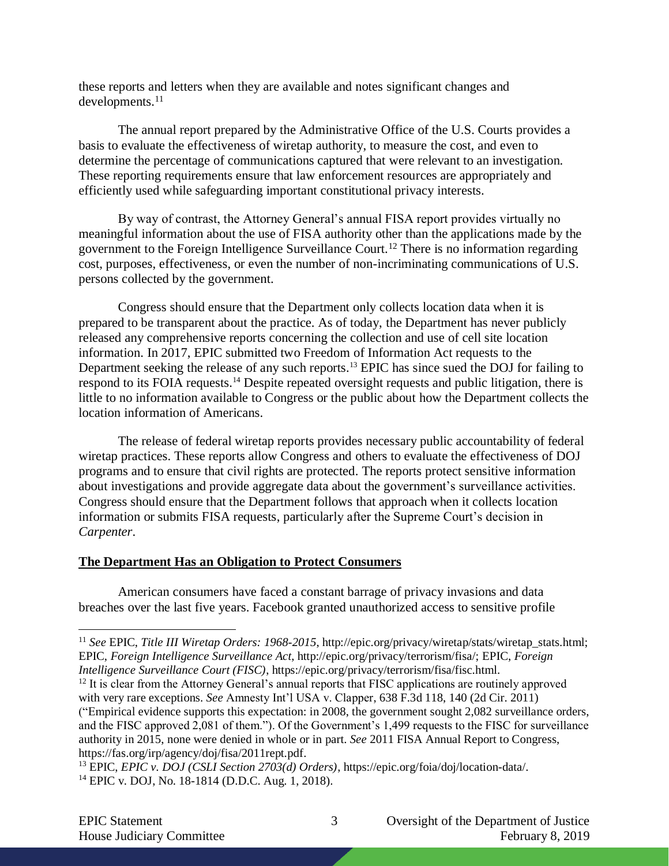these reports and letters when they are available and notes significant changes and developments.<sup>11</sup>

The annual report prepared by the Administrative Office of the U.S. Courts provides a basis to evaluate the effectiveness of wiretap authority, to measure the cost, and even to determine the percentage of communications captured that were relevant to an investigation. These reporting requirements ensure that law enforcement resources are appropriately and efficiently used while safeguarding important constitutional privacy interests.

By way of contrast, the Attorney General's annual FISA report provides virtually no meaningful information about the use of FISA authority other than the applications made by the government to the Foreign Intelligence Surveillance Court.<sup>12</sup> There is no information regarding cost, purposes, effectiveness, or even the number of non-incriminating communications of U.S. persons collected by the government.

Congress should ensure that the Department only collects location data when it is prepared to be transparent about the practice. As of today, the Department has never publicly released any comprehensive reports concerning the collection and use of cell site location information. In 2017, EPIC submitted two Freedom of Information Act requests to the Department seeking the release of any such reports.<sup>13</sup> EPIC has since sued the DOJ for failing to respond to its FOIA requests.<sup>14</sup> Despite repeated oversight requests and public litigation, there is little to no information available to Congress or the public about how the Department collects the location information of Americans.

The release of federal wiretap reports provides necessary public accountability of federal wiretap practices. These reports allow Congress and others to evaluate the effectiveness of DOJ programs and to ensure that civil rights are protected. The reports protect sensitive information about investigations and provide aggregate data about the government's surveillance activities. Congress should ensure that the Department follows that approach when it collects location information or submits FISA requests, particularly after the Supreme Court's decision in *Carpenter*.

## **The Department Has an Obligation to Protect Consumers**

American consumers have faced a constant barrage of privacy invasions and data breaches over the last five years. Facebook granted unauthorized access to sensitive profile

 $\overline{a}$ <sup>11</sup> See EPIC, Title III Wiretap Orders: 1968-2015, http://epic.org/privacy/wiretap/stats/wiretap\_stats.html; EPIC, *Foreign Intelligence Surveillance Act*, http://epic.org/privacy/terrorism/fisa/; EPIC, *Foreign Intelligence Surveillance Court (FISC)*, https://epic.org/privacy/terrorism/fisa/fisc.html.

<sup>&</sup>lt;sup>12</sup> It is clear from the Attorney General's annual reports that FISC applications are routinely approved with very rare exceptions. *See* Amnesty Int'l USA v. Clapper, 638 F.3d 118, 140 (2d Cir. 2011) ("Empirical evidence supports this expectation: in 2008, the government sought 2,082 surveillance orders, and the FISC approved 2,081 of them."). Of the Government's 1,499 requests to the FISC for surveillance authority in 2015, none were denied in whole or in part. *See* 2011 FISA Annual Report to Congress, https://fas.org/irp/agency/doj/fisa/2011rept.pdf.

<sup>13</sup> EPIC, *EPIC v. DOJ (CSLI Section 2703(d) Orders)*, https://epic.org/foia/doj/location-data/. <sup>14</sup> EPIC v. DOJ, No. 18-1814 (D.D.C. Aug. 1, 2018).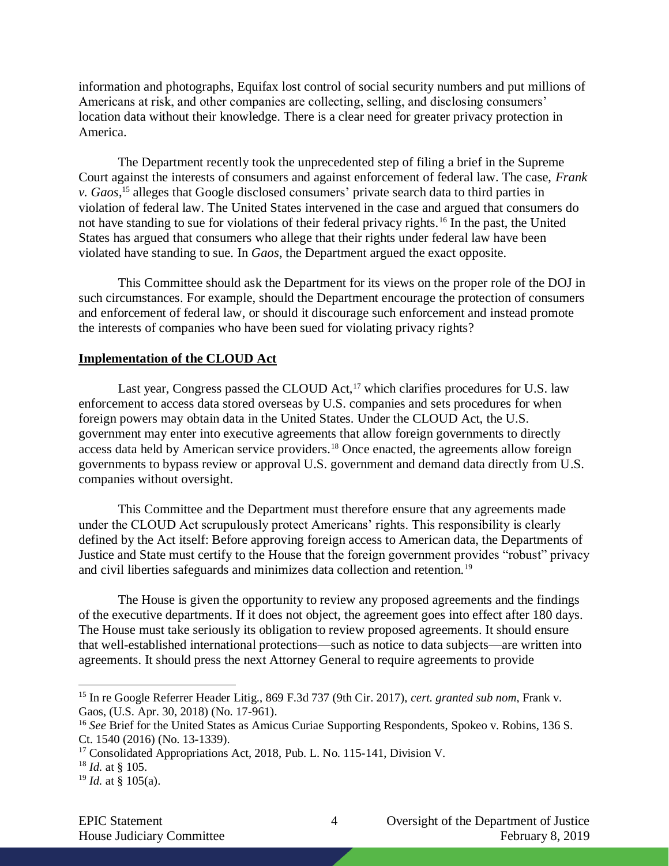information and photographs, Equifax lost control of social security numbers and put millions of Americans at risk, and other companies are collecting, selling, and disclosing consumers' location data without their knowledge. There is a clear need for greater privacy protection in America.

The Department recently took the unprecedented step of filing a brief in the Supreme Court against the interests of consumers and against enforcement of federal law. The case, *Frank v. Gaos*, <sup>15</sup> alleges that Google disclosed consumers' private search data to third parties in violation of federal law. The United States intervened in the case and argued that consumers do not have standing to sue for violations of their federal privacy rights.<sup>16</sup> In the past, the United States has argued that consumers who allege that their rights under federal law have been violated have standing to sue. In *Gaos,* the Department argued the exact opposite.

This Committee should ask the Department for its views on the proper role of the DOJ in such circumstances. For example, should the Department encourage the protection of consumers and enforcement of federal law, or should it discourage such enforcement and instead promote the interests of companies who have been sued for violating privacy rights?

## **Implementation of the CLOUD Act**

Last year, Congress passed the CLOUD Act, $17$  which clarifies procedures for U.S. law enforcement to access data stored overseas by U.S. companies and sets procedures for when foreign powers may obtain data in the United States. Under the CLOUD Act, the U.S. government may enter into executive agreements that allow foreign governments to directly access data held by American service providers.<sup>18</sup> Once enacted, the agreements allow foreign governments to bypass review or approval U.S. government and demand data directly from U.S. companies without oversight.

This Committee and the Department must therefore ensure that any agreements made under the CLOUD Act scrupulously protect Americans' rights. This responsibility is clearly defined by the Act itself: Before approving foreign access to American data, the Departments of Justice and State must certify to the House that the foreign government provides "robust" privacy and civil liberties safeguards and minimizes data collection and retention.<sup>19</sup>

The House is given the opportunity to review any proposed agreements and the findings of the executive departments. If it does not object, the agreement goes into effect after 180 days. The House must take seriously its obligation to review proposed agreements. It should ensure that well-established international protections—such as notice to data subjects—are written into agreements. It should press the next Attorney General to require agreements to provide

 $\overline{a}$ 

<sup>15</sup> In re Google Referrer Header Litig., 869 F.3d 737 (9th Cir. 2017), *cert. granted sub nom*, Frank v. Gaos, (U.S. Apr. 30, 2018) (No. 17-961).

<sup>16</sup> *See* Brief for the United States as Amicus Curiae Supporting Respondents, Spokeo v. Robins, 136 S. Ct. 1540 (2016) (No. 13-1339).

<sup>&</sup>lt;sup>17</sup> Consolidated Appropriations Act, 2018, Pub. L. No. 115-141, Division V.

<sup>18</sup> *Id.* at § 105.

 $19$  *Id.* at § 105(a).